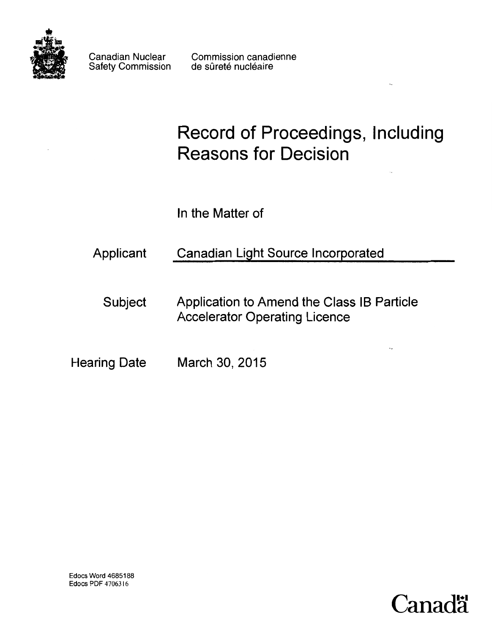

Canadian Nuclear Safety Commission

Commission canadienne de sûreté nucléaire

# Record of Proceedings, Including Reasons for Decision

 $\mathcal{L}_k$ 

 $\ddotsc$ 

In the Matter of

Applicant Canadian Light Source Incorporated

Subject Application to Amend the Class IB Particle Accelerator Operating Licence

Hearing Date March 30, 2015

Edocs Word 4685188 Edocs PDF 4706316

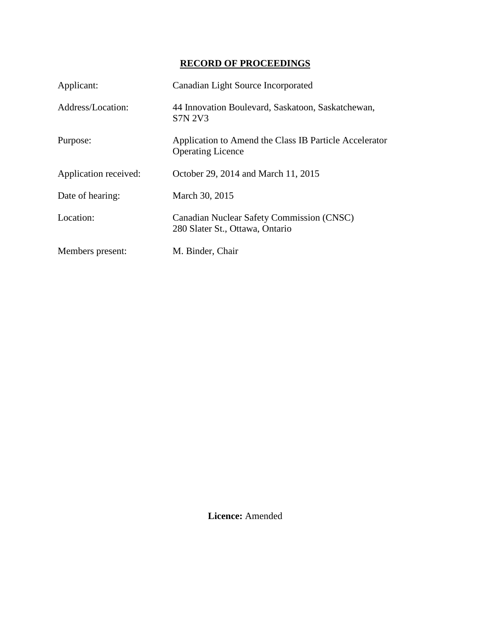# **RECORD OF PROCEEDINGS**

| Applicant:            | Canadian Light Source Incorporated                                                 |
|-----------------------|------------------------------------------------------------------------------------|
| Address/Location:     | 44 Innovation Boulevard, Saskatoon, Saskatchewan,<br><b>S7N 2V3</b>                |
| Purpose:              | Application to Amend the Class IB Particle Accelerator<br><b>Operating Licence</b> |
| Application received: | October 29, 2014 and March 11, 2015                                                |
| Date of hearing:      | March 30, 2015                                                                     |
| Location:             | Canadian Nuclear Safety Commission (CNSC)<br>280 Slater St., Ottawa, Ontario       |
| Members present:      | M. Binder, Chair                                                                   |

**Licence:** Amended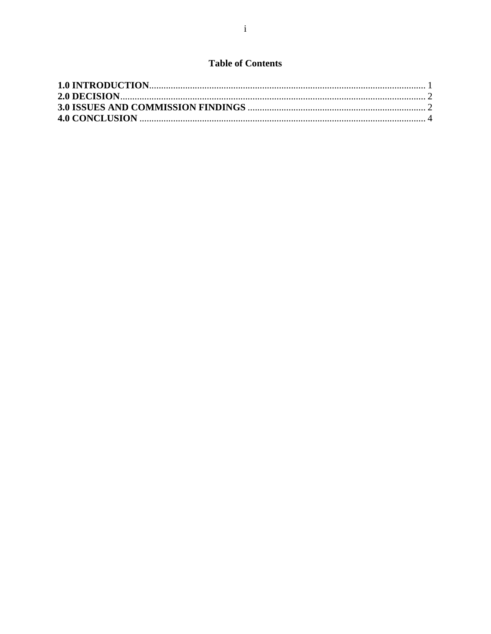# **Table of Contents**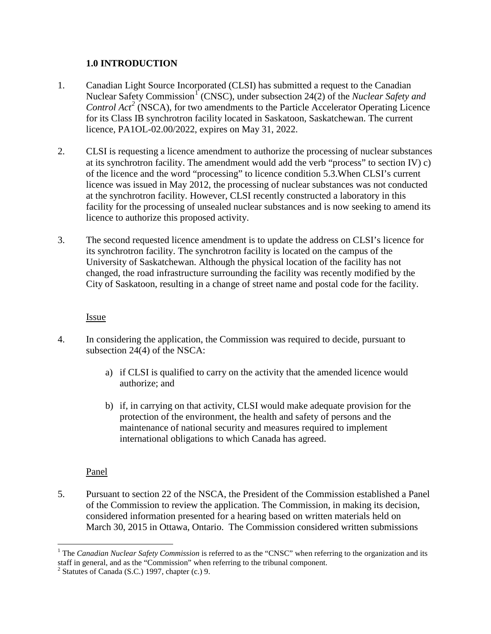## <span id="page-3-0"></span>**1.0 INTRODUCTION**

- 1. Canadian Light Source Incorporated (CLSI) has submitted a request to the Canadian Nuclear Safety Commission<sup>[1](#page-3-1)</sup> (CNSC), under subsection 24(2) of the *Nuclear Safety and Control Act<sup>[2](#page-3-2)</sup>* (NSCA), for two amendments to the Particle Accelerator Operating Licence for its Class IB synchrotron facility located in Saskatoon, Saskatchewan. The current licence, PA1OL-02.00/2022, expires on May 31, 2022.
- 2. CLSI is requesting a licence amendment to authorize the processing of nuclear substances at its synchrotron facility. The amendment would add the verb "process" to section IV) c) of the licence and the word "processing" to licence condition 5.3.When CLSI's current licence was issued in May 2012, the processing of nuclear substances was not conducted at the synchrotron facility. However, CLSI recently constructed a laboratory in this facility for the processing of unsealed nuclear substances and is now seeking to amend its licence to authorize this proposed activity.
- 3. The second requested licence amendment is to update the address on CLSI's licence for its synchrotron facility. The synchrotron facility is located on the campus of the University of Saskatchewan. Although the physical location of the facility has not changed, the road infrastructure surrounding the facility was recently modified by the City of Saskatoon, resulting in a change of street name and postal code for the facility.

#### Issue

- 4. In considering the application, the Commission was required to decide, pursuant to subsection 24(4) of the NSCA:
	- a) if CLSI is qualified to carry on the activity that the amended licence would authorize; and
	- b) if, in carrying on that activity, CLSI would make adequate provision for the protection of the environment, the health and safety of persons and the maintenance of national security and measures required to implement international obligations to which Canada has agreed.

## Panel

5. Pursuant to section 22 of the NSCA, the President of the Commission established a Panel of the Commission to review the application. The Commission, in making its decision, considered information presented for a hearing based on written materials held on March 30, 2015 in Ottawa, Ontario. The Commission considered written submissions

<span id="page-3-1"></span><sup>&</sup>lt;u>.</u> <sup>1</sup> The *Canadian Nuclear Safety Commission* is referred to as the "CNSC" when referring to the organization and its staff in general, and as the "Commission" when referring to the tribunal component.<br><sup>2</sup> Statutes of Canada (S.C.) 1997, chapter (c.) 9.

<span id="page-3-2"></span>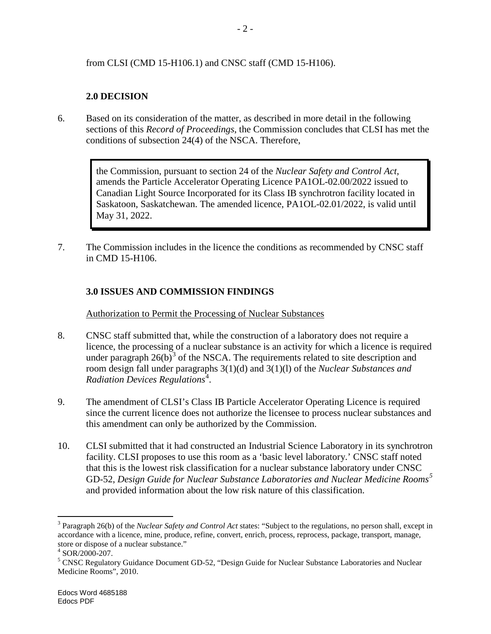#### from CLSI (CMD 15-H106.1) and CNSC staff (CMD 15-H106).

# <span id="page-4-0"></span>**2.0 DECISION**

6. Based on its consideration of the matter, as described in more detail in the following sections of this *Record of Proceedings*, the Commission concludes that CLSI has met the conditions of subsection 24(4) of the NSCA. Therefore,

> the Commission, pursuant to section 24 of the *Nuclear Safety and Control Act*, amends the Particle Accelerator Operating Licence PA1OL-02.00/2022 issued to Canadian Light Source Incorporated for its Class IB synchrotron facility located in Saskatoon, Saskatchewan. The amended licence, PA1OL-02.01/2022, is valid until May 31, 2022.

7. The Commission includes in the licence the conditions as recommended by CNSC staff in CMD 15-H106.

## <span id="page-4-1"></span>**3.0 ISSUES AND COMMISSION FINDINGS**

Authorization to Permit the Processing of Nuclear Substances

- 8. CNSC staff submitted that, while the construction of a laboratory does not require a licence, the processing of a nuclear substance is an activity for which a licence is required under paragraph  $26(b)^3$  $26(b)^3$  of the NSCA. The requirements related to site description and room design fall under paragraphs 3(1)(d) and 3(1)(l) of the *Nuclear Substances and Radiation Devices Regulations*[4](#page-4-3) .
- 9. The amendment of CLSI's Class IB Particle Accelerator Operating Licence is required since the current licence does not authorize the licensee to process nuclear substances and this amendment can only be authorized by the Commission.
- 10. CLSI submitted that it had constructed an Industrial Science Laboratory in its synchrotron facility. CLSI proposes to use this room as a 'basic level laboratory.' CNSC staff noted that this is the lowest risk classification for a nuclear substance laboratory under CNSC GD-52, *Design Guide for Nuclear Substance Laboratories and Nuclear Medicine Rooms[5](#page-4-4)* and provided information about the low risk nature of this classification.

-

<span id="page-4-2"></span><sup>3</sup> Paragraph 26(b) of the *Nuclear Safety and Control Act* states: "Subject to the regulations, no person shall, except in accordance with a licence, mine, produce, refine, convert, enrich, process, reprocess, package, transport, manage, store or dispose of a nuclear substance."<br><sup>4</sup> SOR/2000-207.<br><sup>5</sup> CNSC Regulatory Guidance Document GD-52, "Design Guide for Nuclear Substance Laboratories and Nuclear

<span id="page-4-4"></span><span id="page-4-3"></span>Medicine Rooms", 2010.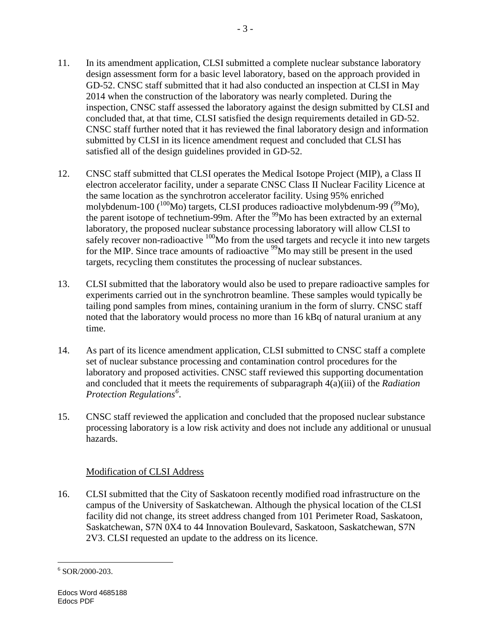- 11. In its amendment application, CLSI submitted a complete nuclear substance laboratory design assessment form for a basic level laboratory, based on the approach provided in GD-52. CNSC staff submitted that it had also conducted an inspection at CLSI in May 2014 when the construction of the laboratory was nearly completed. During the inspection, CNSC staff assessed the laboratory against the design submitted by CLSI and concluded that, at that time, CLSI satisfied the design requirements detailed in GD-52. CNSC staff further noted that it has reviewed the final laboratory design and information submitted by CLSI in its licence amendment request and concluded that CLSI has satisfied all of the design guidelines provided in GD-52.
- 12. CNSC staff submitted that CLSI operates the Medical Isotope Project (MIP), a Class II electron accelerator facility, under a separate CNSC Class II Nuclear Facility Licence at the same location as the synchrotron accelerator facility. Using 95% enriched molybdenum-100 ( $^{100}$ Mo) targets, CLSI produces radioactive molybdenum-99 ( $^{99}$ Mo), the parent isotope of technetium-99m. After the <sup>99</sup>Mo has been extracted by an external laboratory, the proposed nuclear substance processing laboratory will allow CLSI to safely recover non-radioactive  $100$ Mo from the used targets and recycle it into new targets for the MIP. Since trace amounts of radioactive <sup>99</sup>Mo may still be present in the used targets, recycling them constitutes the processing of nuclear substances.
- 13. CLSI submitted that the laboratory would also be used to prepare radioactive samples for experiments carried out in the synchrotron beamline. These samples would typically be tailing pond samples from mines, containing uranium in the form of slurry. CNSC staff noted that the laboratory would process no more than 16 kBq of natural uranium at any time.
- 14. As part of its licence amendment application, CLSI submitted to CNSC staff a complete set of nuclear substance processing and contamination control procedures for the laboratory and proposed activities. CNSC staff reviewed this supporting documentation and concluded that it meets the requirements of subparagraph 4(a)(iii) of the *Radiation Protection Regulations[6](#page-5-0)* .
- 15. CNSC staff reviewed the application and concluded that the proposed nuclear substance processing laboratory is a low risk activity and does not include any additional or unusual hazards.

# Modification of CLSI Address

16. CLSI submitted that the City of Saskatoon recently modified road infrastructure on the campus of the University of Saskatchewan. Although the physical location of the CLSI facility did not change, its street address changed from 101 Perimeter Road, Saskatoon, Saskatchewan, S7N 0X4 to 44 Innovation Boulevard, Saskatoon, Saskatchewan, S7N 2V3. CLSI requested an update to the address on its licence.

<span id="page-5-0"></span> $6$  SOR/2000-203.  $\overline{a}$